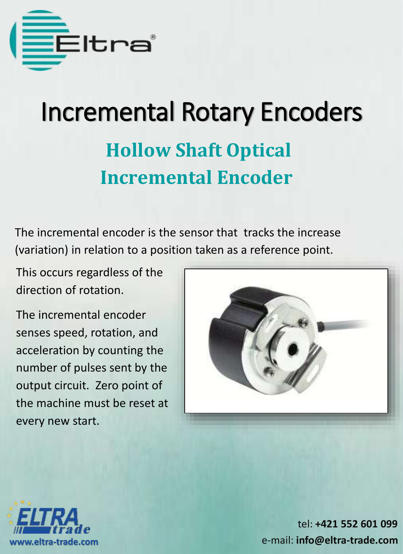

# Incremental Rotary Encoders **Hollow Shaft Optical Incremental Encoder**

The incremental encoder is the sensor that tracks the increase (variation) in relation to a position taken as a reference point.

This occurs regardless of the direction of rotation.

The incremental encoder senses speed, rotation, and acceleration by counting the number of pulses sent by the output circuit. Zero point of the machine must be reset at every new start.



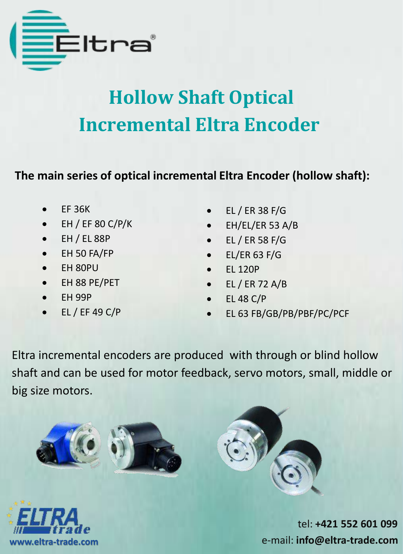

# **Hollow Shaft Optical Incremental Eltra Encoder**

**The main series of optical incremental Eltra Encoder (hollow shaft):**

- EF 36K
- EH / EF 80 C/P/K
- $\bullet$  EH / EL 88P
- EH 50 FA/FP
- EH 80PU
- EH 88 PE/PET
- EH 99P
- EL / EF 49 C/P
- EL / ER 38 F/G
- EH/EL/ER 53 A/B
- $\bullet$  EL / ER 58 F/G
- EL/ER 63 F/G
- EL 120P
- EL / ER 72 A/B
- EL 48 C/P
- EL 63 FB/GB/PB/PBF/PC/PCF

Eltra incremental encoders are produced with through or blind hollow shaft and can be used for motor feedback, servo motors, small, middle or big size motors.







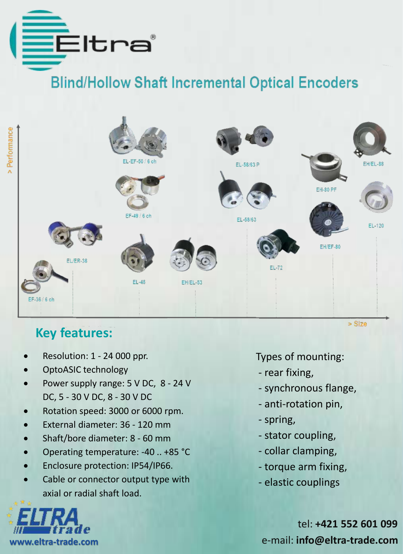

Performance

### **Blind/Hollow Shaft Incremental Optical Encoders**



#### **Key features:**

- Resolution: 1 24 000 ppr.
- OptoASIC technology
- Power supply range: 5 V DC, 8 24 V DC, 5 - 30 V DC, 8 - 30 V DC
- Rotation speed: 3000 or 6000 rpm.
- External diameter: 36 120 mm
- Shaft/bore diameter: 8 60 mm
- Operating temperature: -40 .. +85 °C
- Enclosure protection: IP54/IP66.
- Cable or connector output type with axial or radial shaft load.



Types of mounting:

- rear fixing,
- synchronous flange,
- anti-rotation pin,
- spring,
- stator coupling,
- collar clamping,
- torque arm fixing,
- elastic couplings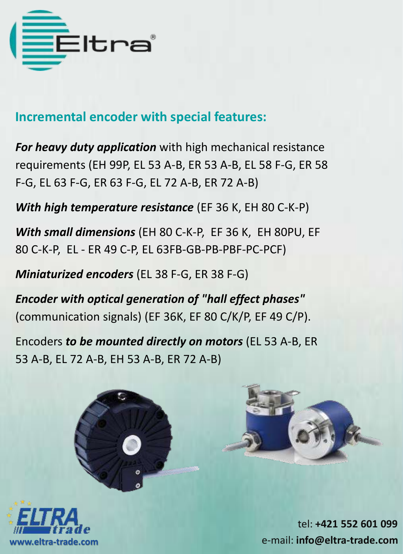

#### **Incremental encoder with special features:**

*For heavy duty application* with high mechanical resistance requirements (EH 99P, EL 53 A-B, ER 53 A-B, EL 58 F-G, ER 58 F-G, EL 63 F-G, ER 63 F-G, EL 72 A-B, ER 72 A-B)

*With high temperature resistance* (EF 36 K, EH 80 C-K-P)

*With small dimensions* (EH 80 C-K-P, EF 36 K, EH 80PU, EF 80 C-K-P, EL - ER 49 C-P, EL 63FB-GB-PB-PBF-PC-PCF)

*Miniaturized encoders* (EL 38 F-G, ER 38 F-G)

*Encoder with optical generation of "hall effect phases"*  (communication signals) (EF 36K, EF 80 C/K/P, EF 49 C/P).

Encoders *to be mounted directly on motors* (EL 53 A-B, ER 53 A-B, EL 72 A-B, EH 53 A-B, ER 72 A-B)





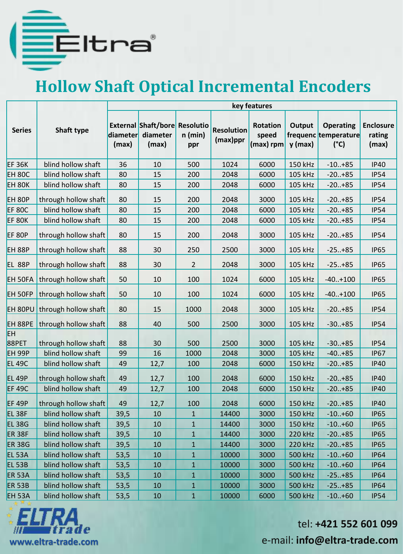

## **Hollow Shaft Optical Incremental Encoders**

|                    |                      |       |                                                                    |                  |                               | key features                          |                     |                                                           |                                     |  |  |
|--------------------|----------------------|-------|--------------------------------------------------------------------|------------------|-------------------------------|---------------------------------------|---------------------|-----------------------------------------------------------|-------------------------------------|--|--|
| <b>Series</b>      | Shaft type           | (max) | <b>External Shaft/bore Resolutio</b><br>diameter diameter<br>(max) | $n$ (min)<br>ppr | <b>Resolution</b><br>(max)ppr | <b>Rotation</b><br>speed<br>(max) rpm | Output<br>$y$ (max) | <b>Operating</b><br>frequenc temperature<br>$(^{\circ}C)$ | <b>Enclosure</b><br>rating<br>(max) |  |  |
| <b>EF 36K</b>      | blind hollow shaft   | 36    | 10                                                                 | 500              | 1024                          | 6000                                  | 150 kHz             | $-10+85$                                                  | <b>IP40</b>                         |  |  |
| EH 80C             | blind hollow shaft   | 80    | 15                                                                 | 200              | 2048                          | 6000                                  | 105 kHz             | $-20.+85$                                                 | <b>IP54</b>                         |  |  |
| EH 80K             | blind hollow shaft   | 80    | 15                                                                 | 200              | 2048                          | 6000                                  | 105 kHz             | $-20.+85$                                                 | <b>IP54</b>                         |  |  |
| EH <sub>80P</sub>  | through hollow shaft | 80    | 15                                                                 | 200              | 2048                          | 3000                                  | 105 kHz             | $-20.+85$                                                 | <b>IP54</b>                         |  |  |
| <b>EF 80C</b>      | blind hollow shaft   | 80    | 15                                                                 | 200              | 2048                          | 6000                                  | 105 kHz             | $-20.+85$                                                 | <b>IP54</b>                         |  |  |
| <b>EF 80K</b>      | blind hollow shaft   | 80    | 15                                                                 | 200              | 2048                          | 6000                                  | 105 kHz             | $-20.+85$                                                 | <b>IP54</b>                         |  |  |
| <b>EF 80P</b>      | through hollow shaft | 80    | 15                                                                 | 200              | 2048                          | 3000                                  | 105 kHz             | $-20.+85$                                                 | <b>IP54</b>                         |  |  |
| <b>EH 88P</b>      | through hollow shaft | 88    | 30                                                                 | 250              | 2500                          | 3000                                  | 105 kHz             | $-25+85$                                                  | <b>IP65</b>                         |  |  |
| <b>EL 88P</b>      | through hollow shaft | 88    | 30                                                                 | $\overline{2}$   | 2048                          | 3000                                  | 105 kHz             | $-25+85$                                                  | <b>IP65</b>                         |  |  |
| EH 50FA            | through hollow shaft | 50    | 10                                                                 | 100              | 1024                          | 6000                                  | 105 kHz             | $-40.+100$                                                | <b>IP65</b>                         |  |  |
| EH 50FP            | through hollow shaft | 50    | 10                                                                 | 100              | 1024                          | 6000                                  | 105 kHz             | $-40.+100$                                                | <b>IP65</b>                         |  |  |
| EH 80PU            | through hollow shaft | 80    | 15                                                                 | 1000             | 2048                          | 3000                                  | 105 kHz             | $-20.+85$                                                 | <b>IP54</b>                         |  |  |
| EH 88PE            | through hollow shaft | 88    | 40                                                                 | 500              | 2500                          | 3000                                  | 105 kHz             | $-30.+85$                                                 | <b>IP54</b>                         |  |  |
| EH<br>88PET        | through hollow shaft | 88    | 30                                                                 | 500              | 2500                          | 3000                                  | 105 kHz             | $-30.+85$                                                 | <b>IP54</b>                         |  |  |
| EH 99P             | blind hollow shaft   | 99    | 16                                                                 | 1000             | 2048                          | 3000                                  | 105 kHz             | $-40.+85$                                                 | <b>IP67</b>                         |  |  |
| <b>EL 49C</b>      | blind hollow shaft   | 49    | 12,7                                                               | 100              | 2048                          | 6000                                  | 150 kHz             | $-20.+85$                                                 | <b>IP40</b>                         |  |  |
| <b>EL 49P</b>      | through hollow shaft | 49    | 12,7                                                               | 100              | 2048                          | 6000                                  | 150 kHz             | $-20.+85$                                                 | <b>IP40</b>                         |  |  |
| <b>EF 49C</b>      | blind hollow shaft   | 49    | 12,7                                                               | 100              | 2048                          | 6000                                  | 150 kHz             | $-20.+85$                                                 | <b>IP40</b>                         |  |  |
| <b>EF 49P</b>      | through hollow shaft | 49    | 12,7                                                               | 100              | 2048                          | 6000                                  | 150 kHz             | $-20.+85$                                                 | <b>IP40</b>                         |  |  |
| EL <sub>38F</sub>  | blind hollow shaft   | 39,5  | 10                                                                 | $\mathbf{1}$     | 14400                         | 3000                                  | 150 kHz             | $-10.+60$                                                 | <b>IP65</b>                         |  |  |
| EL <sub>38G</sub>  | blind hollow shaft   | 39,5  | 10                                                                 | $\mathbf{1}$     | 14400                         | 3000                                  | 150 kHz             | $-10.+60$                                                 | <b>IP65</b>                         |  |  |
| <b>ER 38F</b>      | blind hollow shaft   | 39,5  | 10                                                                 | $\mathbf{1}$     | 14400                         | 3000                                  | 220 kHz             | $-20.+85$                                                 | <b>IP65</b>                         |  |  |
| <b>ER 38G</b>      | blind hollow shaft   | 39,5  | 10                                                                 | $\mathbf{1}$     | 14400                         | 3000                                  | 220 kHz             | $-20.+85$                                                 | <b>IP65</b>                         |  |  |
| EL <sub>53</sub> A | blind hollow shaft   | 53,5  | 10                                                                 | $\mathbf{1}$     | 10000                         | 3000                                  | 500 kHz             | $-10.+60$                                                 | <b>IP64</b>                         |  |  |
| <b>EL 53B</b>      | blind hollow shaft   | 53,5  | 10                                                                 | $\mathbf{1}$     | 10000                         | 3000                                  | 500 kHz             | $-10.+60$                                                 | <b>IP64</b>                         |  |  |
| <b>ER 53A</b>      | blind hollow shaft   | 53,5  | 10                                                                 | $\mathbf{1}$     | 10000                         | 3000                                  | 500 kHz             | $-25+85$                                                  | <b>IP64</b>                         |  |  |
| <b>ER 53B</b>      | blind hollow shaft   | 53,5  | 10                                                                 | $\mathbf{1}$     | 10000                         | 3000                                  | 500 kHz             | $-25+85$                                                  | <b>IP64</b>                         |  |  |
| EH 53A             | blind hollow shaft   | 53,5  | 10                                                                 | $\mathbf{1}$     | 10000                         | 6000                                  | 500 kHz             | $-10.+60$                                                 | <b>IP54</b>                         |  |  |

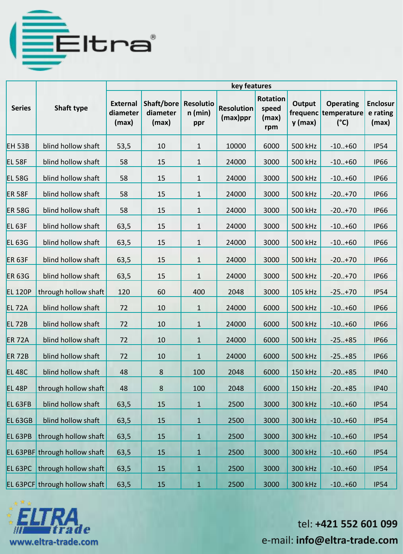

|                    |                               | key features                         |                                 |                                      |                                  |                                          |                     |                                                           |                                      |  |  |
|--------------------|-------------------------------|--------------------------------------|---------------------------------|--------------------------------------|----------------------------------|------------------------------------------|---------------------|-----------------------------------------------------------|--------------------------------------|--|--|
| <b>Series</b>      | Shaft type                    | <b>External</b><br>diameter<br>(max) | Shaft/bore<br>diameter<br>(max) | <b>Resolutio</b><br>$n$ (min)<br>ppr | <b>Resolution</b><br>$(max)$ ppr | <b>Rotation</b><br>speed<br>(max)<br>rpm | Output<br>$y$ (max) | <b>Operating</b><br>frequenc temperature<br>$(^{\circ}C)$ | <b>Enclosur</b><br>e rating<br>(max) |  |  |
| <b>EH 53B</b>      | blind hollow shaft            | 53,5                                 | 10                              | $\mathbf{1}$                         | 10000                            | 6000                                     | 500 kHz             | $-10.+60$                                                 | <b>IP54</b>                          |  |  |
| <b>EL 58F</b>      | blind hollow shaft            | 58                                   | 15                              | $\mathbf{1}$                         | 24000                            | 3000                                     | 500 kHz             | $-10.+60$                                                 | <b>IP66</b>                          |  |  |
| <b>EL 58G</b>      | blind hollow shaft            | 58                                   | 15                              | $\mathbf{1}$                         | 24000                            | 3000                                     | 500 kHz             | $-10.+60$                                                 | <b>IP66</b>                          |  |  |
| <b>ER 58F</b>      | blind hollow shaft            | 58                                   | 15                              | $\mathbf{1}$                         | 24000                            | 3000                                     | 500 kHz             | $-20.+70$                                                 | <b>IP66</b>                          |  |  |
| <b>ER 58G</b>      | blind hollow shaft            | 58                                   | 15                              | $\mathbf{1}$                         | 24000                            | 3000                                     | 500 kHz             | $-20.+70$                                                 | <b>IP66</b>                          |  |  |
| <b>EL 63F</b>      | blind hollow shaft            | 63,5                                 | 15                              | $\mathbf{1}$                         | 24000                            | 3000                                     | 500 kHz             | $-10.+60$                                                 | <b>IP66</b>                          |  |  |
| <b>EL 63G</b>      | blind hollow shaft            | 63,5                                 | 15                              | $\mathbf{1}$                         | 24000                            | 3000                                     | 500 kHz             | $-10+60$                                                  | <b>IP66</b>                          |  |  |
| <b>ER 63F</b>      | blind hollow shaft            | 63,5                                 | 15                              | $\mathbf{1}$                         | 24000                            | 3000                                     | 500 kHz             | $-20.+70$                                                 | <b>IP66</b>                          |  |  |
| <b>ER 63G</b>      | blind hollow shaft            | 63,5                                 | 15                              | 1                                    | 24000                            | 3000                                     | 500 kHz             | $-20.+70$                                                 | <b>IP66</b>                          |  |  |
| <b>EL 120P</b>     | through hollow shaft          | 120                                  | 60                              | 400                                  | 2048                             | 3000                                     | 105 kHz             | $-25+70$                                                  | <b>IP54</b>                          |  |  |
| <b>EL 72A</b>      | blind hollow shaft            | 72                                   | 10                              | $\mathbf{1}$                         | 24000                            | 6000                                     | 500 kHz             | $-10.+60$                                                 | <b>IP66</b>                          |  |  |
| <b>EL72B</b>       | blind hollow shaft            | 72                                   | 10                              | $\mathbf{1}$                         | 24000                            | 6000                                     | 500 kHz             | $-10.+60$                                                 | <b>IP66</b>                          |  |  |
| <b>ER 72A</b>      | blind hollow shaft            | 72                                   | 10                              | $\mathbf{1}$                         | 24000                            | 6000                                     | 500 kHz             | $-25+85$                                                  | <b>IP66</b>                          |  |  |
| <b>ER 72B</b>      | blind hollow shaft            | 72                                   | 10                              | $\mathbf{1}$                         | 24000                            | 6000                                     | 500 kHz             | $-25+85$                                                  | <b>IP66</b>                          |  |  |
| <b>EL 48C</b>      | blind hollow shaft            | 48                                   | 8                               | 100                                  | 2048                             | 6000                                     | 150 kHz             | $-20.+85$                                                 | <b>IP40</b>                          |  |  |
| <b>EL 48P</b>      | through hollow shaft          | 48                                   | 8                               | 100                                  | 2048                             | 6000                                     | 150 kHz             | $-20.+85$                                                 | <b>IP40</b>                          |  |  |
| EL 63FB            | blind hollow shaft            | 63,5                                 | 15                              | $\mathbf{1}$                         | 2500                             | 3000                                     | 300 kHz             | $-10.+60$                                                 | <b>IP54</b>                          |  |  |
| EL 63GB            | blind hollow shaft            | 63,5                                 | 15                              | $\mathbf{1}$                         | 2500                             | 3000                                     | 300 kHz             | $-10.+60$                                                 | <b>IP54</b>                          |  |  |
| EL 63PB            | through hollow shaft          | 63,5                                 | $15\,$                          | $\mathbf{1}$                         | 2500                             | 3000                                     | 300 kHz             | $-10.+60$                                                 | <b>IP54</b>                          |  |  |
|                    | EL 63PBF through hollow shaft | 63,5                                 | 15                              | $\mathbf{1}$                         | 2500                             | 3000                                     | 300 kHz             | $-10.+60$                                                 | <b>IP54</b>                          |  |  |
| EL <sub>63PC</sub> | through hollow shaft          | 63,5                                 | 15                              | $\mathbf{1}$                         | 2500                             | 3000                                     | 300 kHz             | $-10.+60$                                                 | <b>IP54</b>                          |  |  |
|                    | EL 63PCF through hollow shaft | 63,5                                 | 15                              | $\mathbf{1}$                         | 2500                             | 3000                                     | 300 kHz             | $-10.+60$                                                 | <b>IP54</b>                          |  |  |

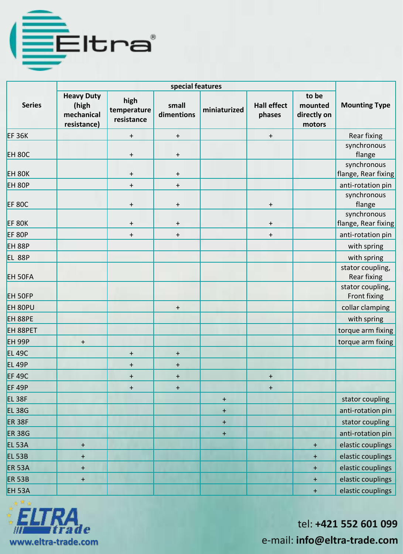

| <b>Series</b>      | <b>Heavy Duty</b><br>(high<br>mechanical<br>resistance) | high<br>temperature<br>resistance | small<br>dimentions              | miniaturized                     | <b>Hall effect</b><br>phases | to be<br>mounted<br>directly on<br>motors | <b>Mounting Type</b>                   |
|--------------------|---------------------------------------------------------|-----------------------------------|----------------------------------|----------------------------------|------------------------------|-------------------------------------------|----------------------------------------|
| <b>EF36K</b>       |                                                         | $\ddot{}$                         | $\begin{array}{c} + \end{array}$ |                                  | $\ddot{}$                    |                                           | Rear fixing                            |
| <b>EH 80C</b>      |                                                         | $\ddot{}$                         | $\begin{array}{c} + \end{array}$ |                                  |                              |                                           | synchronous<br>flange                  |
| <b>EH 80K</b>      |                                                         | $\pmb{+}$                         | $\begin{array}{c} + \end{array}$ |                                  |                              |                                           | synchronous<br>flange, Rear fixing     |
| <b>EH 80P</b>      |                                                         | $\ddot{}$                         | $\ddot{}$                        |                                  |                              |                                           | anti-rotation pin                      |
| <b>EF 80C</b>      |                                                         | $\pmb{+}$                         | $\begin{array}{c} + \end{array}$ |                                  | $\ddot{}$                    |                                           | synchronous<br>flange                  |
| EF 80K             |                                                         | $\ddot{}$                         | $\begin{array}{c} + \end{array}$ |                                  | $\ddot{}$                    |                                           | synchronous<br>flange, Rear fixing     |
| <b>EF 80P</b>      |                                                         | $\ddot{}$                         | $\ddot{}$                        |                                  | $\ddot{}$                    |                                           | anti-rotation pin                      |
| <b>EH 88P</b>      |                                                         |                                   |                                  |                                  |                              |                                           | with spring                            |
| <b>EL 88P</b>      |                                                         |                                   |                                  |                                  |                              |                                           | with spring                            |
| EH 50FA            |                                                         |                                   |                                  |                                  |                              |                                           | stator coupling,<br><b>Rear fixing</b> |
| EH 50FP            |                                                         |                                   |                                  |                                  |                              |                                           | stator coupling,<br>Front fixing       |
| EH 80PU            |                                                         |                                   | $\ddot{}$                        |                                  |                              |                                           | collar clamping                        |
| EH 88PE            |                                                         |                                   |                                  |                                  |                              |                                           | with spring                            |
| EH 88PET           |                                                         |                                   |                                  |                                  |                              |                                           | torque arm fixing                      |
| <b>EH 99P</b>      | $\ddot{}$                                               |                                   |                                  |                                  |                              |                                           | torque arm fixing                      |
| <b>EL 49C</b>      |                                                         | $\ddot{}$                         | $\ddot{}$                        |                                  |                              |                                           |                                        |
| <b>EL 49P</b>      |                                                         | $\ddot{}$                         | $\ddot{}$                        |                                  |                              |                                           |                                        |
| <b>EF 49C</b>      |                                                         | $\ddot{}$                         | $\ddot{}$                        |                                  | $\ddot{}$                    |                                           |                                        |
| <b>EF 49P</b>      |                                                         | $\ddot{}$                         | $\ddot{}$                        |                                  | $\ddot{}$                    |                                           |                                        |
| EL <sub>38F</sub>  |                                                         |                                   |                                  | $+$                              |                              |                                           | stator coupling                        |
| <b>EL 38G</b>      |                                                         |                                   |                                  | $\ddot{}$                        |                              |                                           | anti-rotation pin                      |
| <b>ER 38F</b>      |                                                         |                                   |                                  | $\begin{array}{c} + \end{array}$ |                              |                                           | stator coupling                        |
| <b>ER 38G</b>      |                                                         |                                   |                                  | $+$                              |                              |                                           | anti-rotation pin                      |
| <b>EL 53A</b>      | $\begin{array}{c} + \end{array}$                        |                                   |                                  |                                  |                              | $\ddot{}$                                 | elastic couplings                      |
| <b>EL 53B</b>      | $\ddot{}$                                               |                                   |                                  |                                  |                              | $\ddot{}$                                 | elastic couplings                      |
| <b>ER 53A</b>      | $\ddot{}$                                               |                                   |                                  |                                  |                              | $+$                                       | elastic couplings                      |
| <b>ER 53B</b>      | $\boldsymbol{+}$                                        |                                   |                                  |                                  |                              | $+$                                       | elastic couplings                      |
| EH <sub>53</sub> A |                                                         |                                   |                                  |                                  |                              | $\pm$                                     | elastic couplings                      |

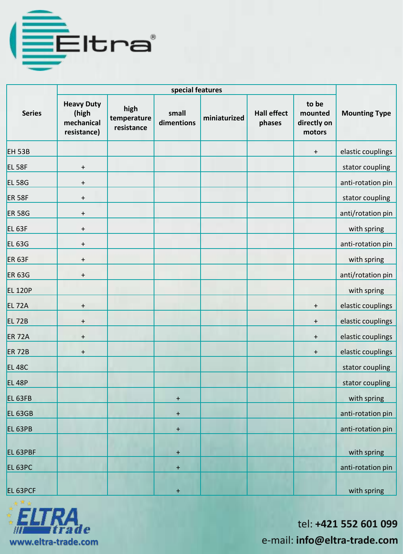

| <b>Series</b>      | <b>Heavy Duty</b><br>(high<br>mechanical<br>resistance) | high<br>temperature<br>resistance | small<br>dimentions | miniaturized | <b>Hall effect</b><br>phases | to be<br>mounted<br>directly on<br>motors | <b>Mounting Type</b> |
|--------------------|---------------------------------------------------------|-----------------------------------|---------------------|--------------|------------------------------|-------------------------------------------|----------------------|
| <b>EH 53B</b>      |                                                         |                                   |                     |              |                              | $\ddot{}$                                 | elastic couplings    |
| EL <sub>58F</sub>  | $\ddot{}$                                               |                                   |                     |              |                              |                                           | stator coupling      |
| <b>EL 58G</b>      | $\ddot{}$                                               |                                   |                     |              |                              |                                           | anti-rotation pin    |
| <b>ER 58F</b>      | $\ddot{}$                                               |                                   |                     |              |                              |                                           | stator coupling      |
| <b>ER 58G</b>      | $\ddot{}$                                               |                                   |                     |              |                              |                                           | anti/rotation pin    |
| EL <sub>63F</sub>  | $\ddot{}$                                               |                                   |                     |              |                              |                                           | with spring          |
| <b>EL 63G</b>      | $\ddot{}$                                               |                                   |                     |              |                              |                                           | anti-rotation pin    |
| <b>ER 63F</b>      | $\ddot{}$                                               |                                   |                     |              |                              |                                           | with spring          |
| <b>ER 63G</b>      | $\ddot{}$                                               |                                   |                     |              |                              |                                           | anti/rotation pin    |
| <b>EL 120P</b>     |                                                         |                                   |                     |              |                              |                                           | with spring          |
| <b>EL 72A</b>      | $\ddot{}$                                               |                                   |                     |              |                              | $\ddot{}$                                 | elastic couplings    |
| <b>EL 72B</b>      | $\ddot{}$                                               |                                   |                     |              |                              | $\ddot{}$                                 | elastic couplings    |
| <b>ER 72A</b>      | $\ddot{}$                                               |                                   |                     |              |                              | $\ddot{}$                                 | elastic couplings    |
| <b>ER 72B</b>      | $\ddot{}$                                               |                                   |                     |              |                              | $\ddot{}$                                 | elastic couplings    |
| <b>EL 48C</b>      |                                                         |                                   |                     |              |                              |                                           | stator coupling      |
| <b>EL 48P</b>      |                                                         |                                   |                     |              |                              |                                           | stator coupling      |
| EL <sub>63FB</sub> |                                                         |                                   | $\ddot{}$           |              |                              |                                           | with spring          |
| EL 63GB            |                                                         |                                   | $+$                 |              |                              |                                           | anti-rotation pin    |
| EL 63PB            |                                                         |                                   | $+$                 |              |                              |                                           | anti-rotation pin    |
| EL 63PBF           |                                                         |                                   | $+$                 |              |                              |                                           | with spring          |
| EL 63PC            |                                                         |                                   | $\pm$               |              |                              |                                           | anti-rotation pin    |
| EL 63PCF           |                                                         |                                   | $\ddot{}$           |              |                              |                                           | with spring          |

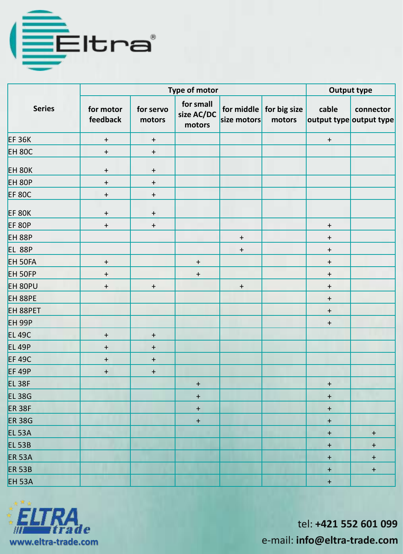

|                   |                       | <b>Output type</b>  |                                   |             |                                           |                  |                                      |
|-------------------|-----------------------|---------------------|-----------------------------------|-------------|-------------------------------------------|------------------|--------------------------------------|
| <b>Series</b>     | for motor<br>feedback | for servo<br>motors | for small<br>size AC/DC<br>motors | size motors | for middle $\vert$ for big size<br>motors | cable            | connector<br>output type output type |
| <b>EF 36K</b>     | $\pm$                 | $\boldsymbol{+}$    |                                   |             |                                           | $\pm$            |                                      |
| <b>EH 80C</b>     | $\boldsymbol{+}$      | $\boldsymbol{+}$    |                                   |             |                                           |                  |                                      |
| <b>EH 80K</b>     | $+$                   | $\ddot{}$           |                                   |             |                                           |                  |                                      |
| <b>EH 80P</b>     | $\pm$                 | $\ddot{}$           |                                   |             |                                           |                  |                                      |
| <b>EF 80C</b>     | $\pm$                 | $\boldsymbol{+}$    |                                   |             |                                           |                  |                                      |
| <b>EF 80K</b>     | $+$                   | $\boldsymbol{+}$    |                                   |             |                                           |                  |                                      |
| <b>EF 80P</b>     | $\pm$                 | $\boldsymbol{+}$    |                                   |             |                                           | $\boldsymbol{+}$ |                                      |
| <b>EH 88P</b>     |                       |                     |                                   | $+$         |                                           | $\boldsymbol{+}$ |                                      |
| <b>EL 88P</b>     |                       |                     |                                   | $+$         |                                           | $\ddot{}$        |                                      |
| EH 50FA           | $\ddot{}$             |                     | $\ddot{}$                         |             |                                           | $\ddot{}$        |                                      |
| EH 50FP           | $+$                   |                     | $+$                               |             |                                           | $+$              |                                      |
| EH 80PU           | $+$                   | $\ddot{}$           |                                   | $\ddot{}$   |                                           | $\boldsymbol{+}$ |                                      |
| EH 88PE           |                       |                     |                                   |             |                                           | $\boldsymbol{+}$ |                                      |
| EH 88PET          |                       |                     |                                   |             |                                           | $\boldsymbol{+}$ |                                      |
| <b>EH 99P</b>     |                       |                     |                                   |             |                                           | $+$              |                                      |
| <b>EL 49C</b>     | $\pm$                 | $+$                 |                                   |             |                                           |                  |                                      |
| <b>EL 49P</b>     | $\ddot{}$             | $+$                 |                                   |             |                                           |                  |                                      |
| <b>EF 49C</b>     | $+$                   | $+$                 |                                   |             |                                           |                  |                                      |
| <b>EF 49P</b>     | $\boldsymbol{+}$      | $+$                 |                                   |             |                                           |                  |                                      |
| EL <sub>38F</sub> |                       |                     | $\boldsymbol{+}$                  |             |                                           | $+$              |                                      |
| <b>EL 38G</b>     |                       |                     | $\boldsymbol{+}$                  |             |                                           | $\boldsymbol{+}$ |                                      |
| <b>ER 38F</b>     |                       |                     | $\begin{array}{c} + \end{array}$  |             |                                           | $\ddag$          |                                      |
| <b>ER 38G</b>     |                       |                     | $\pm$                             |             |                                           | $\ddagger$       |                                      |
| <b>EL 53A</b>     |                       |                     |                                   |             |                                           | $\pmb{+}$        | $+$                                  |
| <b>EL 53B</b>     |                       |                     |                                   |             |                                           | $\bm{+}$         | $\ddot{}$                            |
| <b>ER 53A</b>     |                       |                     |                                   |             |                                           | $\ddot{}$        | $\begin{array}{c} + \end{array}$     |
| <b>ER 53B</b>     |                       |                     |                                   |             |                                           | $\pmb{+}$        | $\boldsymbol{+}$                     |
| <b>EH 53A</b>     |                       |                     |                                   |             |                                           | $\ddot{}$        |                                      |

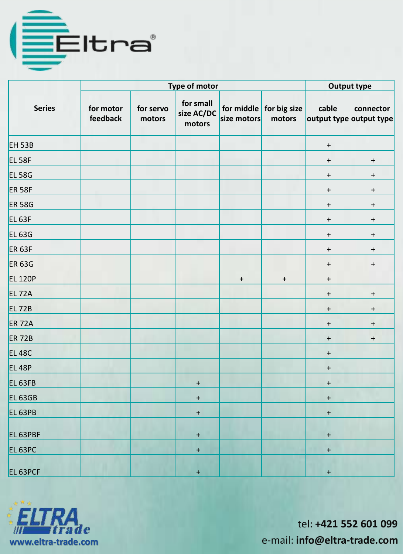

|                    |                       | <b>Output type</b>  |                                   |                  |                                           |                                  |                                      |
|--------------------|-----------------------|---------------------|-----------------------------------|------------------|-------------------------------------------|----------------------------------|--------------------------------------|
| <b>Series</b>      | for motor<br>feedback | for servo<br>motors | for small<br>size AC/DC<br>motors | size motors      | for middle $\vert$ for big size<br>motors | cable                            | connector<br>output type output type |
| EH <sub>53B</sub>  |                       |                     |                                   |                  |                                           | $\boldsymbol{+}$                 |                                      |
| EL <sub>58F</sub>  |                       |                     |                                   |                  |                                           | $\ddot{}$                        | $\boldsymbol{+}$                     |
| <b>EL 58G</b>      |                       |                     |                                   |                  |                                           | $+$                              | $\ddot{}$                            |
| <b>ER 58F</b>      |                       |                     |                                   |                  |                                           | $\ddot{}$                        | $\ddot{}$                            |
| <b>ER 58G</b>      |                       |                     |                                   |                  |                                           | $+$                              | $\boldsymbol{+}$                     |
| EL <sub>63F</sub>  |                       |                     |                                   |                  |                                           | $+$                              | $\ddot{}$                            |
| <b>EL 63G</b>      |                       |                     |                                   |                  |                                           | $+$                              | $\ddot{}$                            |
| <b>ER 63F</b>      |                       |                     |                                   |                  |                                           | $\ddot{}$                        | $\ddot{}$                            |
| <b>ER 63G</b>      |                       |                     |                                   |                  |                                           | $+$                              | $\boldsymbol{+}$                     |
| <b>EL 120P</b>     |                       |                     |                                   | $\boldsymbol{+}$ | $+$                                       | $+$                              |                                      |
| EL 72A             |                       |                     |                                   |                  |                                           | $\begin{array}{c} + \end{array}$ | $\ddot{}$                            |
| <b>EL 72B</b>      |                       |                     |                                   |                  |                                           | $\ddot{}$                        | $\begin{array}{c} + \end{array}$     |
| <b>ER 72A</b>      |                       |                     |                                   |                  |                                           | $\begin{array}{c} + \end{array}$ | $\boldsymbol{+}$                     |
| <b>ER 72B</b>      |                       |                     |                                   |                  |                                           | $\ddot{}$                        | $\boldsymbol{+}$                     |
| <b>EL 48C</b>      |                       |                     |                                   |                  |                                           | $+$                              |                                      |
| <b>EL 48P</b>      |                       |                     |                                   |                  |                                           | $\boldsymbol{+}$                 |                                      |
| EL <sub>63FB</sub> |                       |                     | $\boldsymbol{+}$                  |                  |                                           | $\boldsymbol{+}$                 |                                      |
| EL <sub>63GB</sub> |                       |                     | $\ddagger$                        |                  |                                           | $+$                              |                                      |
| EL <sub>63PB</sub> |                       |                     | $\boldsymbol{+}$                  |                  |                                           | $\ddot{}$                        |                                      |
| EL 63PBF           |                       |                     | $\pm$                             |                  |                                           | $\boldsymbol{+}$                 |                                      |
| EL <sub>63PC</sub> |                       |                     | $+$                               |                  |                                           | $\boldsymbol{+}$                 |                                      |
| EL 63PCF           |                       |                     | $+$                               |                  |                                           | $+$                              |                                      |

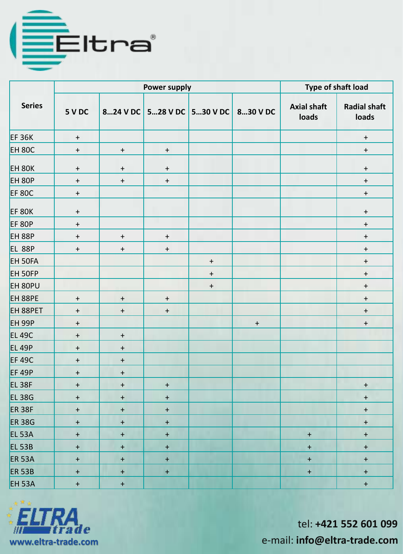

|                   |                  | <b>Power supply</b>              | Type of shaft load |                            |                  |                             |                                  |
|-------------------|------------------|----------------------------------|--------------------|----------------------------|------------------|-----------------------------|----------------------------------|
| <b>Series</b>     | 5 V DC           |                                  |                    | 824 V DC 528 V DC 530 V DC | 830 V DC         | <b>Axial shaft</b><br>loads | <b>Radial shaft</b><br>loads     |
| <b>EF 36K</b>     | $\boldsymbol{+}$ |                                  |                    |                            |                  |                             | $\boldsymbol{+}$                 |
| <b>EH 80C</b>     | $\ddot{}$        | $\ddagger$                       | $+$                |                            |                  |                             | $\boldsymbol{+}$                 |
| <b>EH 80K</b>     | $\ddot{}$        | $\ddot{}$                        | $\pm$              |                            |                  |                             | $\boldsymbol{+}$                 |
| <b>EH 80P</b>     | $\ddot{}$        | $+$                              | $\color{red}+$     |                            |                  |                             | $\ddot{}$                        |
| <b>EF 80C</b>     | $+$              |                                  |                    |                            |                  |                             | $\boldsymbol{+}$                 |
| EF 80K            | $\pm$            |                                  |                    |                            |                  |                             | $\boldsymbol{+}$                 |
| <b>EF 80P</b>     | $\boldsymbol{+}$ |                                  |                    |                            |                  |                             | $\boldsymbol{+}$                 |
| <b>EH 88P</b>     | $\ddot{}$        | $\ddot{}$                        | $\ddot{}$          |                            |                  |                             | $\ddot{}$                        |
| <b>EL 88P</b>     | $\ddot{}$        | $\ddagger$                       | $\color{red}+$     |                            |                  |                             | $\ddot{}$                        |
| EH 50FA           |                  |                                  |                    | $\ddot{}$                  |                  |                             | $\pm$                            |
| EH 50FP           |                  |                                  |                    | $\ddot{}$                  |                  |                             | $\boldsymbol{+}$                 |
| EH 80PU           |                  |                                  |                    | $+$                        |                  |                             | $\boldsymbol{+}$                 |
| EH 88PE           | $\pm$            | $+$                              | $\pm$              |                            |                  |                             | $+$                              |
| EH 88PET          | $\pm$            | $+$                              | $\pm$              |                            |                  |                             | $\boldsymbol{+}$                 |
| <b>EH 99P</b>     | $+$              |                                  |                    |                            | $\boldsymbol{+}$ |                             | $\boldsymbol{+}$                 |
| <b>EL 49C</b>     | $+$              | $+$                              |                    |                            |                  |                             |                                  |
| <b>EL 49P</b>     | $+$              | $\ddot{}$                        |                    |                            |                  |                             |                                  |
| <b>EF 49C</b>     | $\ddot{}$        | $\begin{array}{c} + \end{array}$ |                    |                            |                  |                             |                                  |
| EF 49P            | $\ddot{}$        | $\ddot{}$                        |                    |                            |                  |                             |                                  |
| EL <sub>38F</sub> | $\ddot{}$        | $\ddot{}$                        | $\ddot{}$          |                            |                  |                             | $\begin{array}{c} + \end{array}$ |
| <b>EL38G</b>      | $+$              | $+$                              | $+$                |                            |                  |                             | $+$                              |
| <b>ER 38F</b>     | $+$              | $+$                              | $+$                |                            |                  |                             | $\boldsymbol{+}$                 |
| <b>ER 38G</b>     | $\color{red}+$   | $\boldsymbol{+}$                 | $\boldsymbol{+}$   |                            |                  |                             | $\boldsymbol{+}$                 |
| <b>EL 53A</b>     | $\pm$            | $\pm$                            | $\pm$              |                            |                  | $\pm$                       | $\pm$                            |
| <b>EL 53B</b>     | $\pm$            | $\pm$                            | $\pm$              |                            |                  | $\boldsymbol{+}$            | $\boldsymbol{+}$                 |
| <b>ER 53A</b>     | $+$              | $\boldsymbol{+}$                 | $\pm$              |                            |                  | $\pm$                       | $+$                              |
| <b>ER 53B</b>     | $+$              | $\color{red}+$                   | $\pm$              |                            |                  | $\pm$                       | $+$                              |
| <b>EH 53A</b>     | $+$              | $+$                              |                    |                            |                  |                             | $\pm$                            |